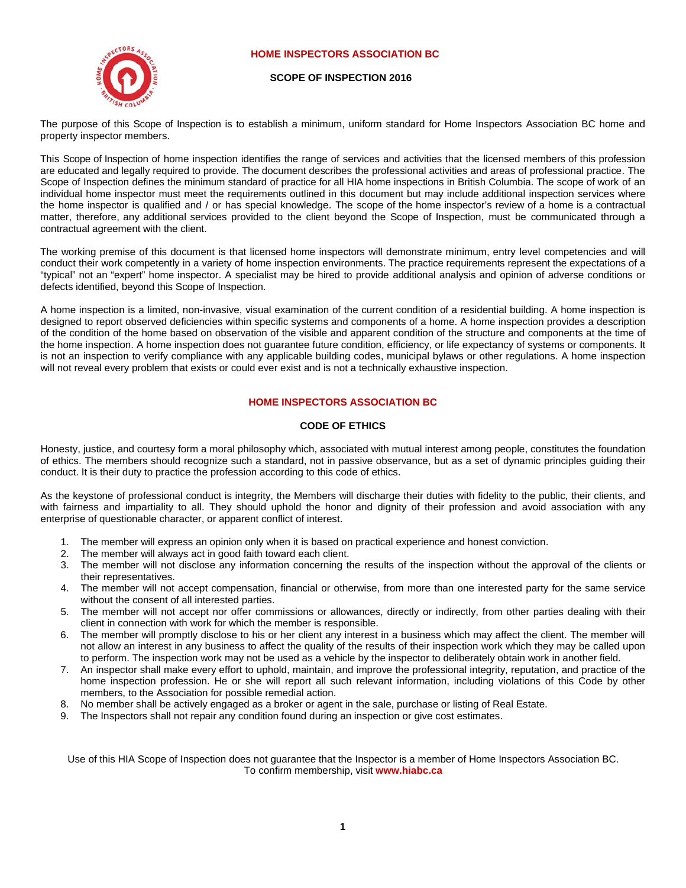# **HOME INSPECTORS ASSOCIATION BC**



## **SCOPE OF INSPECTION 2016**

The purpose of this Scope of Inspection is to establish a minimum, uniform standard for Home Inspectors Association BC home and property inspector members.

This Scope of Inspection of home inspection identifies the range of services and activities that the licensed members of this profession are educated and legally required to provide. The document describes the professional activities and areas of professional practice. The Scope of Inspection defines the minimum standard of practice for all HIA home inspections in British Columbia. The scope of work of an individual home inspector must meet the requirements outlined in this document but may include additional inspection services where the home inspector is qualified and / or has special knowledge. The scope of the home inspector's review of a home is a contractual matter, therefore, any additional services provided to the client beyond the Scope of Inspection, must be communicated through a contractual agreement with the client.

The working premise of this document is that licensed home inspectors will demonstrate minimum, entry level competencies and will conduct their work competently in a variety of home inspection environments. The practice requirements represent the expectations of a "typical" not an "expert" home inspector. A specialist may be hired to provide additional analysis and opinion of adverse conditions or defects identified, beyond this Scope of Inspection.

A home inspection is a limited, non-invasive, visual examination of the current condition of a residential building. A home inspection is designed to report observed deficiencies within specific systems and components of a home. A home inspection provides a description of the condition of the home based on observation of the visible and apparent condition of the structure and components at the time of the home inspection. A home inspection does not guarantee future condition, efficiency, or life expectancy of systems or components. It is not an inspection to verify compliance with any applicable building codes, municipal bylaws or other regulations. A home inspection will not reveal every problem that exists or could ever exist and is not a technically exhaustive inspection.

# **HOME INSPECTORS ASSOCIATION BC**

# **CODE OF ETHICS**

Honesty, justice, and courtesy form a moral philosophy which, associated with mutual interest among people, constitutes the foundation of ethics. The members should recognize such a standard, not in passive observance, but as a set of dynamic principles guiding their conduct. It is their duty to practice the profession according to this code of ethics.

As the keystone of professional conduct is integrity, the Members will discharge their duties with fidelity to the public, their clients, and with fairness and impartiality to all. They should uphold the honor and dignity of their profession and avoid association with any enterprise of questionable character, or apparent conflict of interest.

- 1. The member will express an opinion only when it is based on practical experience and honest conviction.
- 2. The member will always act in good faith toward each client.
- 3. The member will not disclose any information concerning the results of the inspection without the approval of the clients or their representatives.
- 4. The member will not accept compensation, financial or otherwise, from more than one interested party for the same service without the consent of all interested parties.
- 5. The member will not accept nor offer commissions or allowances, directly or indirectly, from other parties dealing with their client in connection with work for which the member is responsible.
- 6. The member will promptly disclose to his or her client any interest in a business which may affect the client. The member will not allow an interest in any business to affect the quality of the results of their inspection work which they may be called upon to perform. The inspection work may not be used as a vehicle by the inspector to deliberately obtain work in another field.
- 7. An inspector shall make every effort to uphold, maintain, and improve the professional integrity, reputation, and practice of the home inspection profession. He or she will report all such relevant information, including violations of this Code by other members, to the Association for possible remedial action.
- 8. No member shall be actively engaged as a broker or agent in the sale, purchase or listing of Real Estate.
- 9. The Inspectors shall not repair any condition found during an inspection or give cost estimates.

Use of this HIA Scope of Inspection does not guarantee that the Inspector is a member of Home Inspectors Association BC. To confirm membership, visit **www.hiabc.ca**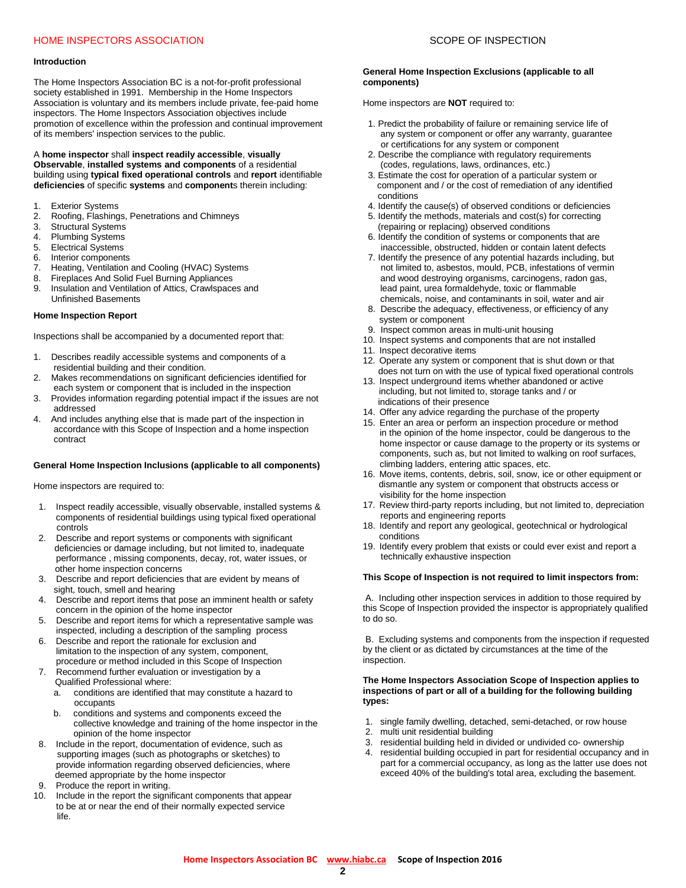# HOME INSPECTORS ASSOCIATION AND RELATION SCOPE OF INSPECTION

#### **Introduction**

The Home Inspectors Association BC is a not-for-profit professional society established in 1991. Membership in the Home Inspectors Association is voluntary and its members include private, fee-paid home inspectors. The Home Inspectors Association objectives include promotion of excellence within the profession and continual improvement of its members' inspection services to the public.

A **home inspector** shall **inspect readily accessible**, **visually Observable**, **installed systems and components** of a residential building using **typical fixed operational controls** and **report** identifiable **deficiencies** of specific **systems** and **component**s therein including:

- 1. Exterior Systems<br>2. Roofing, Flashing
- 2. Roofing, Flashings, Penetrations and Chimneys
- 3. Structural Systems<br>4. Plumbing Systems
- Plumbing Systems
- 
- 5. Electrical Systems<br>6. Interior component Interior components
- 7. Heating, Ventilation and Cooling (HVAC) Systems
- 8. Fireplaces And Solid Fuel Burning Appliances
- 9. Insulation and Ventilation of Attics, Crawlspaces and Unfinished Basements

#### **Home Inspection Report**

Inspections shall be accompanied by a documented report that:

- 1. Describes readily accessible systems and components of a residential building and their condition.
- 2. Makes recommendations on significant deficiencies identified for each system or component that is included in the inspection
- 3. Provides information regarding potential impact if the issues are not addressed
- 4. And includes anything else that is made part of the inspection in accordance with this Scope of Inspection and a home inspection contract

## **General Home Inspection Inclusions (applicable to all components)**

Home inspectors are required to:

- 1. Inspect readily accessible, visually observable, installed systems & components of residential buildings using typical fixed operational controls
- 2. Describe and report systems or components with significant deficiencies or damage including, but not limited to, inadequate performance , missing components, decay, rot, water issues, or other home inspection concerns
- 3. Describe and report deficiencies that are evident by means of sight, touch, smell and hearing
- 4. Describe and report items that pose an imminent health or safety concern in the opinion of the home inspector
- 5. Describe and report items for which a representative sample was inspected, including a description of the sampling process
- 6. Describe and report the rationale for exclusion and limitation to the inspection of any system, component, procedure or method included in this Scope of Inspection
- 7. Recommend further evaluation or investigation by a Qualified Professional where:
	- a. conditions are identified that may constitute a hazard to occupants<br>b. conditions
	- conditions and systems and components exceed the collective knowledge and training of the home inspector in the opinion of the home inspector
- 8. Include in the report, documentation of evidence, such as supporting images (such as photographs or sketches) to provide information regarding observed deficiencies, where deemed appropriate by the home inspector
- 9. Produce the report in writing.
- 10. Include in the report the significant components that appear to be at or near the end of their normally expected service life.

## **General Home Inspection Exclusions (applicable to all components)**

Home inspectors are **NOT** required to:

- 1. Predict the probability of failure or remaining service life of any system or component or offer any warranty, guarantee or certifications for any system or component
- 2. Describe the compliance with regulatory requirements (codes, regulations, laws, ordinances, etc.)
- 3. Estimate the cost for operation of a particular system or component and / or the cost of remediation of any identified conditions
- 4. Identify the cause(s) of observed conditions or deficiencies
- 5. Identify the methods, materials and cost(s) for correcting (repairing or replacing) observed conditions
- 6. Identify the condition of systems or components that are inaccessible, obstructed, hidden or contain latent defects
- 7. Identify the presence of any potential hazards including, but not limited to, asbestos, mould, PCB, infestations of vermin and wood destroying organisms, carcinogens, radon gas, lead paint, urea formaldehyde, toxic or flammable chemicals, noise, and contaminants in soil, water and air
- 8. Describe the adequacy, effectiveness, or efficiency of any system or component
- 9. Inspect common areas in multi-unit housing
- 10. Inspect systems and components that are not installed
- 11. Inspect decorative items
- 12. Operate any system or component that is shut down or that does not turn on with the use of typical fixed operational controls
- 13. Inspect underground items whether abandoned or active including, but not limited to, storage tanks and / or indications of their presence
- 14. Offer any advice regarding the purchase of the property
- 15. Enter an area or perform an inspection procedure or method in the opinion of the home inspector, could be dangerous to the home inspector or cause damage to the property or its systems or components, such as, but not limited to walking on roof surfaces, climbing ladders, entering attic spaces, etc.
- 16. Move items, contents, debris, soil, snow, ice or other equipment or dismantle any system or component that obstructs access or visibility for the home inspection
- 17. Review third-party reports including, but not limited to, depreciation reports and engineering reports
- 18. Identify and report any geological, geotechnical or hydrological conditions
- 19. Identify every problem that exists or could ever exist and report a technically exhaustive inspection

#### **This Scope of Inspection is not required to limit inspectors from:**

A. Including other inspection services in addition to those required by this Scope of Inspection provided the inspector is appropriately qualified to do so.

B. Excluding systems and components from the inspection if requested by the client or as dictated by circumstances at the time of the inspection.

#### **The Home Inspectors Association Scope of Inspection applies to inspections of part or all of a building for the following building types:**

- 1. single family dwelling, detached, semi-detached, or row house
- 2. multi unit residential building
- 3. residential building held in divided or undivided co- ownership
- 4. residential building occupied in part for residential occupancy and in part for a commercial occupancy, as long as the latter use does not exceed 40% of the building's total area, excluding the basement.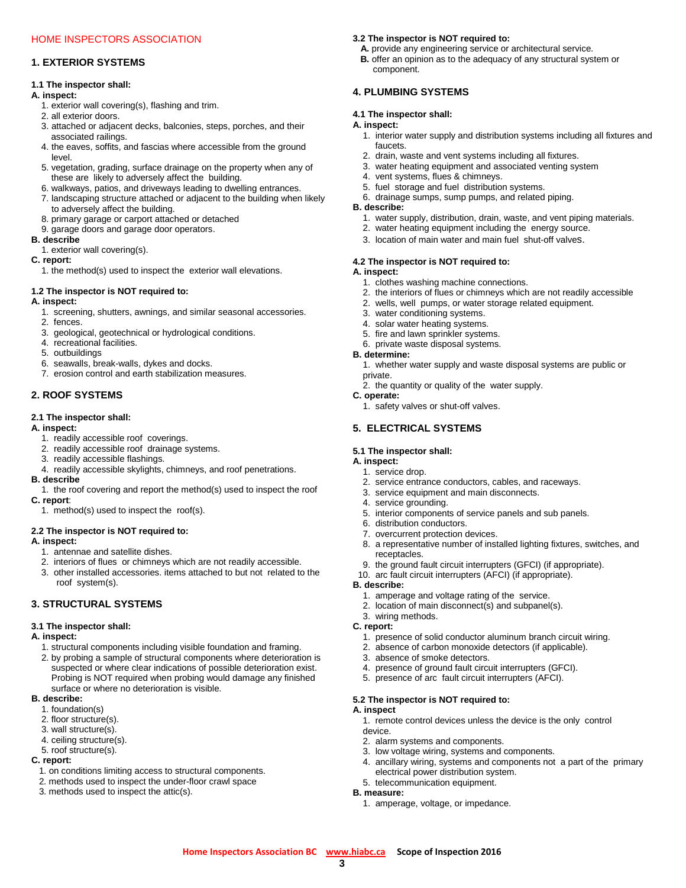# **1. EXTERIOR SYSTEMS**

## **1.1 The inspector shall:**

## **A. inspect:**

- 1. exterior wall covering(s), flashing and trim.
- 2. all exterior doors.
- 3. attached or adjacent decks, balconies, steps, porches, and their associated railings.
- 4. the eaves, soffits, and fascias where accessible from the ground level.
- 5. vegetation, grading, surface drainage on the property when any of these are likely to adversely affect the building.
- 6. walkways, patios, and driveways leading to dwelling entrances.
- 7. landscaping structure attached or adjacent to the building when likely to adversely affect the building.
- 8. primary garage or carport attached or detached
- 9. garage doors and garage door operators.

#### **B. describe**

1. exterior wall covering(s).

## **C. report:**

1. the method(s) used to inspect the exterior wall elevations.

## **1.2 The inspector is NOT required to:**

## **A. inspect:**

- 1. screening, shutters, awnings, and similar seasonal accessories.
- 2. fences.
- 3. geological, geotechnical or hydrological conditions.
- 4. recreational facilities.
- 5. outbuildings
- 6. seawalls, break-walls, dykes and docks.
- 7. erosion control and earth stabilization measures.

# **2. ROOF SYSTEMS**

## **2.1 The inspector shall:**

## **A. inspect:**

- 1. readily accessible roof coverings.
- 2. readily accessible roof drainage systems.
- 3. readily accessible flashings.
- 4. readily accessible skylights, chimneys, and roof penetrations.
- **B. describe** 1. the roof covering and report the method(s) used to inspect the roof
- **C. report**:
	- 1. method(s) used to inspect the roof(s).

# **2.2 The inspector is NOT required to:**

## **A. inspect:**

- 1. antennae and satellite dishes.
- 2. interiors of flues or chimneys which are not readily accessible.
- 3. other installed accessories. items attached to but not related to the roof system(s).

# **3. STRUCTURAL SYSTEMS**

## **3.1 The inspector shall:**

# **A. inspect:**

- 1. structural components including visible foundation and framing.
- 2. by probing a sample of structural components where deterioration is suspected or where clear indications of possible deterioration exist. Probing is NOT required when probing would damage any finished surface or where no deterioration is visible.

## **B. describe:**

- 1. foundation(s)
- 2. floor structure(s).
- 3. wall structure(s).
- 4. ceiling structure(s).
- 5. roof structure(s).

## **C. report:**

- 1. on conditions limiting access to structural components.
- 2. methods used to inspect the under-floor crawl space
- 3. methods used to inspect the attic(s).

## **3.2 The inspector is NOT required to:**

- **A.** provide any engineering service or architectural service.
- **B.** offer an opinion as to the adequacy of any structural system or component.

# **4. PLUMBING SYSTEMS**

## **4.1 The inspector shall:**

## **A. inspect:**

- 1. interior water supply and distribution systems including all fixtures and faucets.
- 2. drain, waste and vent systems including all fixtures.
- 3. water heating equipment and associated venting system
- 4. vent systems, flues & chimneys.
- 5. fuel storage and fuel distribution systems.
- 6. drainage sumps, sump pumps, and related piping.

## **B. describe:**

- 1. water supply, distribution, drain, waste, and vent piping materials.
- 2. water heating equipment including the energy source.
- 3. location of main water and main fuel shut-off valves.

# **4.2 The inspector is NOT required to:**

- **A. inspect:** 1. clothes washing machine connections.
	- 2. the interiors of flues or chimneys which are not readily accessible
	- 2. wells, well pumps, or water storage related equipment.
	- 3. water conditioning systems.
	- 4. solar water heating systems.
	-
	- 5. fire and lawn sprinkler systems. 6. private waste disposal systems.
	-

# **B. determine:**

- 1. whether water supply and waste disposal systems are public or private.
- 2. the quantity or quality of the water supply.

# **C. operate:**

1. safety valves or shut-off valves.

# **5. ELECTRICAL SYSTEMS**

# **5.1 The inspector shall:**

#### **A. inspect:** 1. service drop.

- 2. service entrance conductors, cables, and raceways.
- 3. service equipment and main disconnects.
- 4. service grounding.
- 5. interior components of service panels and sub panels.
- 6. distribution conductors.
- 7. overcurrent protection devices.

3. absence of smoke detectors.

**5.2 The inspector is NOT required to:**

2. alarm systems and components.

3. low voltage wiring, systems and components.

 electrical power distribution system. 5. telecommunication equipment.

1. amperage, voltage, or impedance.

- 8. a representative number of installed lighting fixtures, switches, and receptacles.
- 9. the ground fault circuit interrupters (GFCI) (if appropriate).

 1. presence of solid conductor aluminum branch circuit wiring. 2. absence of carbon monoxide detectors (if applicable).

1. remote control devices unless the device is the only control

4. ancillary wiring, systems and components not a part of the primary

10. arc fault circuit interrupters (AFCI) (if appropriate).

 4. presence of ground fault circuit interrupters (GFCI). 5. presence of arc fault circuit interrupters (AFCI).

## **B. describe:**

**C. report:**

**A. inspect**

device.

**B. measure:**

3. wiring methods.

**Home Inspectors Association BC [www.hiabc.ca](http://www.hiabc.ca/) Scope of Inspection 2016 3**

 1. amperage and voltage rating of the service. 2. location of main disconnect(s) and subpanel(s).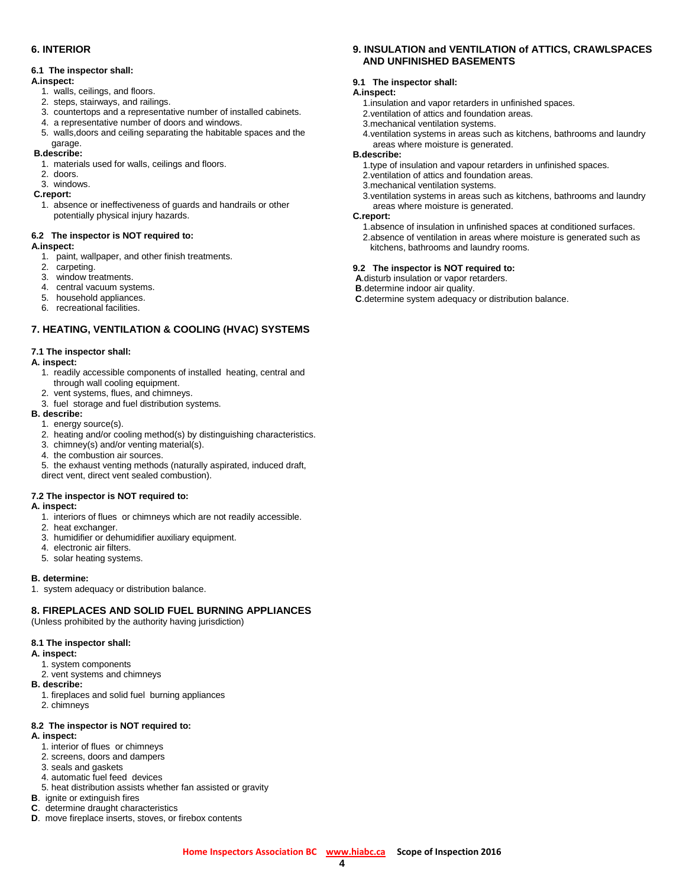# **6. INTERIOR**

## **6.1 The inspector shall:**

# **A.inspect:**

- 1. walls, ceilings, and floors.
- 2. steps, stairways, and railings.
- 3. countertops and a representative number of installed cabinets.
- 4. a representative number of doors and windows.
- 5. walls,doors and ceiling separating the habitable spaces and the garage.

# **B.describe:**

- 1. materials used for walls, ceilings and floors.
- 2. doors.
- 3. windows.
- **C.report:**
	- 1. absence or ineffectiveness of guards and handrails or other potentially physical injury hazards.

## **6.2 The inspector is NOT required to:**

## **A.inspect:**

- 1. paint, wallpaper, and other finish treatments.
- 2. carpeting.
- 3. window treatments.
- 4. central vacuum systems.
- 5. household appliances.
- 6. recreational facilities.

# **7. HEATING, VENTILATION & COOLING (HVAC) SYSTEMS**

## **7.1 The inspector shall:**

## **A. inspect:**

- 1. readily accessible components of installed heating, central and through wall cooling equipment.
- 2. vent systems, flues, and chimneys.
- 3. fuel storage and fuel distribution systems.

# **B. describe:**

- 1. energy source(s).
- 2. heating and/or cooling method(s) by distinguishing characteristics.
- 3. chimney(s) and/or venting material(s).
- 4. the combustion air sources.

 5. the exhaust venting methods (naturally aspirated, induced draft, direct vent, direct vent sealed combustion).

# **7.2 The inspector is NOT required to:**

## **A. inspect:**

- 1. interiors of flues or chimneys which are not readily accessible.
- 2. heat exchanger.
- 3. humidifier or dehumidifier auxiliary equipment.
- 4. electronic air filters.
- 5. solar heating systems.

## **B. determine:**

1. system adequacy or distribution balance.

# **8. FIREPLACES AND SOLID FUEL BURNING APPLIANCES**

(Unless prohibited by the authority having jurisdiction)

# **8.1 The inspector shall:**

- **A. inspect:**
	- 1. system components
	- 2. vent systems and chimneys
- **B. describe:**
	- 1. fireplaces and solid fuel burning appliances
	- 2. chimneys

# **8.2 The inspector is NOT required to:**

- **A. inspect:**
	- 1. interior of flues or chimneys
	- 2. screens, doors and dampers
	- 3. seals and gaskets
	- 4. automatic fuel feed devices
	- 5. heat distribution assists whether fan assisted or gravity
- **B**. ignite or extinguish fires
- **C**. determine draught characteristics
- **D**. move fireplace inserts, stoves, or firebox contents

# **9. INSULATION and VENTILATION of ATTICS, CRAWLSPACES AND UNFINISHED BASEMENTS**

## **9.1 The inspector shall:**

# **A.inspect:**

- 1.insulation and vapor retarders in unfinished spaces.
- 2.ventilation of attics and foundation areas.
- 3.mechanical ventilation systems.
- 4.ventilation systems in areas such as kitchens, bathrooms and laundry areas where moisture is generated.

#### **B.describe:**

- 1.type of insulation and vapour retarders in unfinished spaces.
- 2.ventilation of attics and foundation areas.
- 3.mechanical ventilation systems.
- 3.ventilation systems in areas such as kitchens, bathrooms and laundry areas where moisture is generated.

#### **C.report:**

 1.absence of insulation in unfinished spaces at conditioned surfaces. 2.absence of ventilation in areas where moisture is generated such as kitchens, bathrooms and laundry rooms.

## **9.2 The inspector is NOT required to:**

**A**.disturb insulation or vapor retarders.

**B**.determine indoor air quality.

**C**.determine system adequacy or distribution balance.